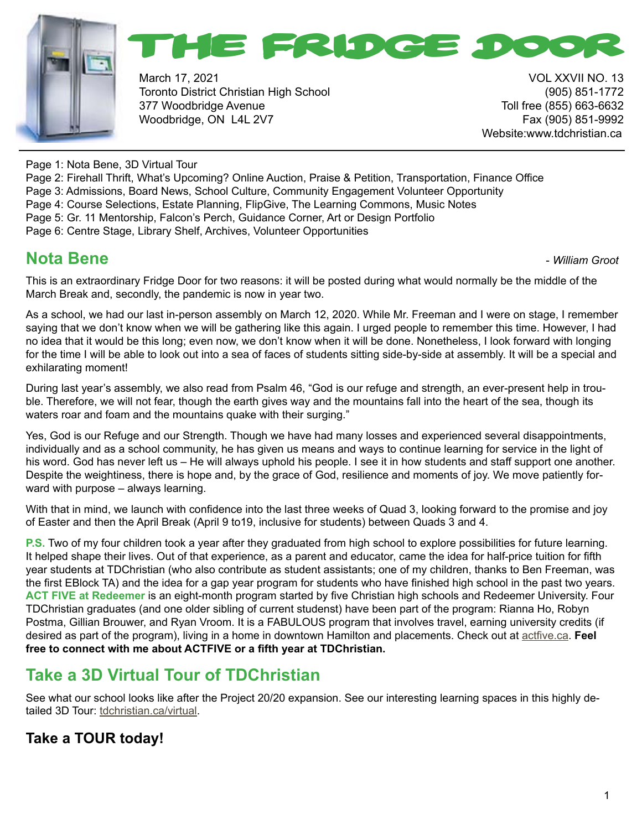



March 17, 2021 **VOL XXVII NO. 13** Toronto District Christian High School (905) 851-1772 377 Woodbridge Avenue Toll free (855) 663-6632 Woodbridge, ON L4L 2V7 Fax (905) 851-9992

Website:www.tdchristian.ca

Page 1: Nota Bene, 3D Virtual Tour

- Page 2: Firehall Thrift, What's Upcoming? Online Auction, Praise & Petition, Transportation, Finance Office
- Page 3: Admissions, Board News, School Culture, Community Engagement Volunteer Opportunity
- Page 4: Course Selections, Estate Planning, FlipGive, The Learning Commons, Music Notes
- Page 5: Gr. 11 Mentorship, Falcon's Perch, Guidance Corner, Art or Design Portfolio
- Page 6: Centre Stage, Library Shelf, Archives, Volunteer Opportunities

## **Nota Bene -** *William Groot* **<b>Constanting Constanting Constanting Constanting Constanting Constanting Constanting Constanting Constanting Constanting Constanting Constanting Constanting Constanting Constanting Constantin**

This is an extraordinary Fridge Door for two reasons: it will be posted during what would normally be the middle of the March Break and, secondly, the pandemic is now in year two.

As a school, we had our last in-person assembly on March 12, 2020. While Mr. Freeman and I were on stage, I remember saying that we don't know when we will be gathering like this again. I urged people to remember this time. However, I had no idea that it would be this long; even now, we don't know when it will be done. Nonetheless, I look forward with longing for the time I will be able to look out into a sea of faces of students sitting side-by-side at assembly. It will be a special and exhilarating moment!

During last year's assembly, we also read from Psalm 46, "God is our refuge and strength, an ever-present help in trouble. Therefore, we will not fear, though the earth gives way and the mountains fall into the heart of the sea, though its waters roar and foam and the mountains quake with their surging."

Yes, God is our Refuge and our Strength. Though we have had many losses and experienced several disappointments, individually and as a school community, he has given us means and ways to continue learning for service in the light of his word. God has never left us – He will always uphold his people. I see it in how students and staff support one another. Despite the weightiness, there is hope and, by the grace of God, resilience and moments of joy. We move patiently forward with purpose – always learning.

With that in mind, we launch with confidence into the last three weeks of Quad 3, looking forward to the promise and joy of Easter and then the April Break (April 9 to19, inclusive for students) between Quads 3 and 4.

**P.S.** Two of my four children took a year after they graduated from high school to explore possibilities for future learning. It helped shape their lives. Out of that experience, as a parent and educator, came the idea for half-price tuition for fifth year students at TDChristian (who also contribute as student assistants; one of my children, thanks to Ben Freeman, was the first EBlock TA) and the idea for a gap year program for students who have finished high school in the past two years. **ACT FIVE at Redeemer** is an eight-month program started by five Christian high schools and Redeemer University. Four TDChristian graduates (and one older sibling of current studenst) have been part of the program: Rianna Ho, Robyn Postma, Gillian Brouwer, and Ryan Vroom. It is a FABULOUS program that involves travel, earning university credits (if desired as part of the program), living in a home in downtown Hamilton and placements. Check out at [actfive.ca](http://actfive.ca). **Feel free to connect with me about ACTFIVE or a fifth year at TDChristian.**

## **Take a 3D Virtual Tour of TDChristian**

See what our school looks like after the Project 20/20 expansion. See our interesting learning spaces in this highly detailed 3D Tour: [tdchristian.ca/virtual.](http://tdchristian.ca/virtual)

### **Take a TOUR today!**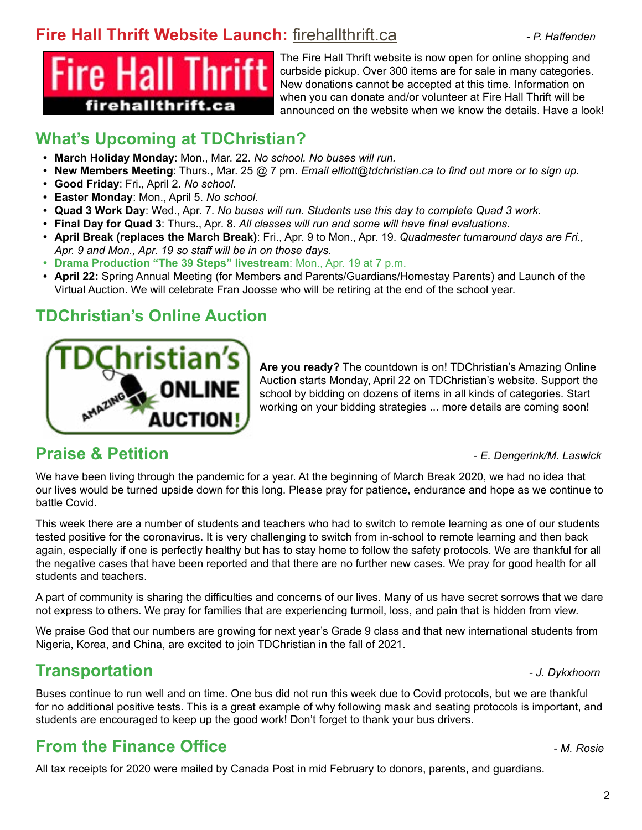## **Fire Hall Thrift Website Launch:** [firehallthrift.ca](http://firehallthrift.ca)*- P. Haffenden*



The Fire Hall Thrift website is now open for online shopping and curbside pickup. Over 300 items are for sale in many categories. New donations cannot be accepted at this time. Information on when you can donate and/or volunteer at Fire Hall Thrift will be announced on the website when we know the details. Have a look!

# **What's Upcoming at TDChristian?**

- **• March Holiday Monday**: Mon., Mar. 22. *No school. No buses will run.*
- **• New Members Meeting**: Thurs., Mar. 25 @ 7 pm. *Email elliott@tdchristian.ca to find out more or to sign up.*
- **• Good Friday**: Fri., April 2. *No school.*
- **• Easter Monday**: Mon., April 5. *No school.*
- **• Quad 3 Work Day**: Wed., Apr. 7. *No buses will run. Students use this day to complete Quad 3 work.*
- **• Final Day for Quad 3**: Thurs., Apr. 8. *All classes will run and some will have final evaluations.*
- **• April Break (replaces the March Break)**: Fri., Apr. 9 to Mon., Apr. 19. *Quadmester turnaround days are Fri., Apr. 9 and Mon., Apr. 19 so staff will be in on those days.*
- **• Drama Production "The 39 Steps" livestream**: Mon., Apr. 19 at 7 p.m.
- **• April 22:** Spring Annual Meeting (for Members and Parents/Guardians/Homestay Parents) and Launch of the Virtual Auction. We will celebrate Fran Joosse who will be retiring at the end of the school year.

## **TDChristian's Online Auction**



**Are you ready?** The countdown is on! TDChristian's Amazing Online Auction starts Monday, April 22 on TDChristian's website. Support the school by bidding on dozens of items in all kinds of categories. Start working on your bidding strategies ... more details are coming soon!

### **Praise & Petition** *- E. Dengerink/M. Laswick*

We have been living through the pandemic for a year. At the beginning of March Break 2020, we had no idea that our lives would be turned upside down for this long. Please pray for patience, endurance and hope as we continue to battle Covid.

This week there are a number of students and teachers who had to switch to remote learning as one of our students tested positive for the coronavirus. It is very challenging to switch from in-school to remote learning and then back again, especially if one is perfectly healthy but has to stay home to follow the safety protocols. We are thankful for all the negative cases that have been reported and that there are no further new cases. We pray for good health for all students and teachers.

A part of community is sharing the difficulties and concerns of our lives. Many of us have secret sorrows that we dare not express to others. We pray for families that are experiencing turmoil, loss, and pain that is hidden from view.

We praise God that our numbers are growing for next year's Grade 9 class and that new international students from Nigeria, Korea, and China, are excited to join TDChristian in the fall of 2021.

## **Transportation** - *J. Dykxhoorn*

Buses continue to run well and on time. One bus did not run this week due to Covid protocols, but we are thankful for no additional positive tests. This is a great example of why following mask and seating protocols is important, and students are encouraged to keep up the good work! Don't forget to thank your bus drivers.

# **From the Finance Office** *- M. Rosie*

All tax receipts for 2020 were mailed by Canada Post in mid February to donors, parents, and guardians.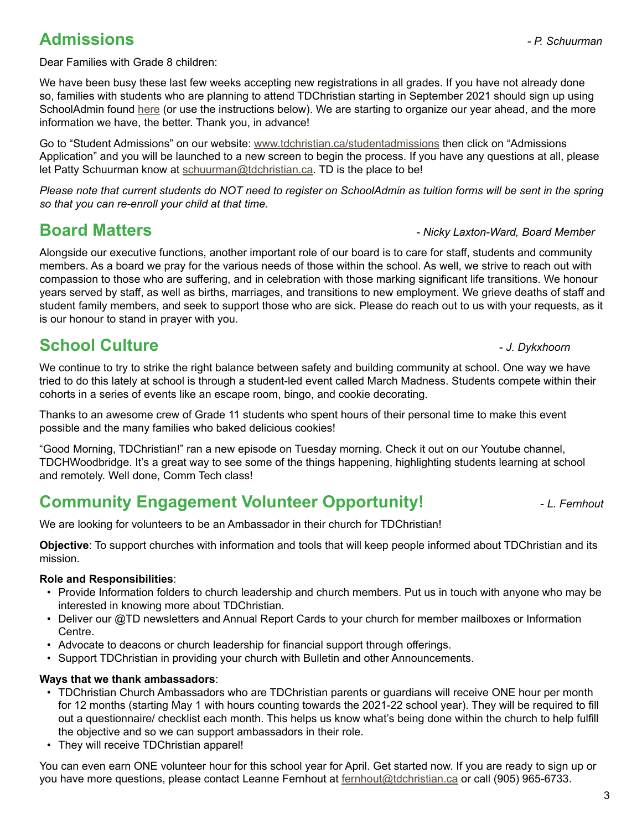#### **Admissions** *- P. Schuurman*

Dear Families with Grade 8 children:

We have been busy these last few weeks accepting new registrations in all grades. If you have not already done so, families with students who are planning to attend TDChristian starting in September 2021 should sign up using SchoolAdmin found [here](https://tdchristian.schooladmin.ca/users/sign_in) (or use the instructions below). We are starting to organize our year ahead, and the more information we have, the better. Thank you, in advance!

Go to "Student Admissions" on our website: [www.tdchristian.ca/studentadmissions](http://www.tdchristian.ca/studentadmissions) then click on "Admissions Application" and you will be launched to a new screen to begin the process. If you have any questions at all, please let Patty Schuurman know at [schuurman@tdchristian.ca.](mailto:schuurman%40tdchristian.ca?subject=) TD is the place to be!

*Please note that current students do NOT need to register on SchoolAdmin as tuition forms will be sent in the spring so that you can re-enroll your child at that time.*

**Board Matters** *- Nicky Laxton-Ward, Board Member*

Alongside our executive functions, another important role of our board is to care for staff, students and community members. As a board we pray for the various needs of those within the school. As well, we strive to reach out with compassion to those who are suffering, and in celebration with those marking significant life transitions. We honour years served by staff, as well as births, marriages, and transitions to new employment. We grieve deaths of staff and student family members, and seek to support those who are sick. Please do reach out to us with your requests, as it is our honour to stand in prayer with you.

# **School Culture -** *J. Dykxhoorn***</del>**

We continue to try to strike the right balance between safety and building community at school. One way we have tried to do this lately at school is through a student-led event called March Madness. Students compete within their cohorts in a series of events like an escape room, bingo, and cookie decorating.

Thanks to an awesome crew of Grade 11 students who spent hours of their personal time to make this event possible and the many families who baked delicious cookies!

"Good Morning, TDChristian!" ran a new episode on Tuesday morning. Check it out on our Youtube channel, TDCHWoodbridge. It's a great way to see some of the things happening, highlighting students learning at school and remotely. Well done, Comm Tech class!

# **Community Engagement Volunteer Opportunity!** *L. Fernhout*

We are looking for volunteers to be an Ambassador in their church for TDChristian!

**Objective**: To support churches with information and tools that will keep people informed about TDChristian and its mission.

#### **Role and Responsibilities**:

- Provide Information folders to church leadership and church members. Put us in touch with anyone who may be interested in knowing more about TDChristian.
- Deliver our @TD newsletters and Annual Report Cards to your church for member mailboxes or Information Centre.
- Advocate to deacons or church leadership for financial support through offerings.
- Support TDChristian in providing your church with Bulletin and other Announcements.

#### **Ways that we thank ambassadors**:

- TDChristian Church Ambassadors who are TDChristian parents or guardians will receive ONE hour per month for 12 months (starting May 1 with hours counting towards the 2021-22 school year). They will be required to fill out a questionnaire/ checklist each month. This helps us know what's being done within the church to help fulfill the objective and so we can support ambassadors in their role.
- They will receive TDChristian apparel!

You can even earn ONE volunteer hour for this school year for April. Get started now. If you are ready to sign up or you have more questions, please contact Leanne Fernhout at [fernhout@tdchristian.ca](mailto:fernhout%40tdchristian.ca?subject=) or call (905) 965-6733.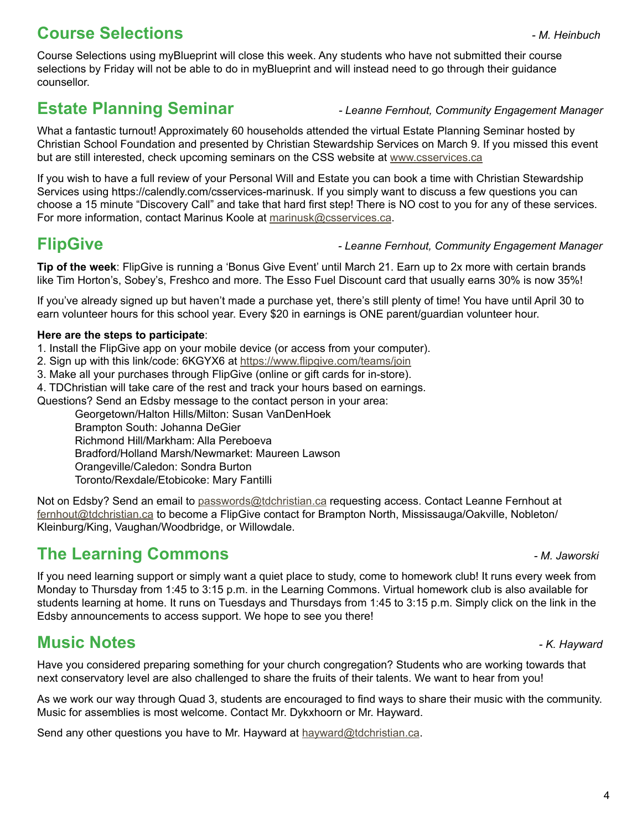# **Course Selections** *- M. Heinbuch*

## **Estate Planning Seminar** *- Leanne Fernhout, Community Engagement Manager*

What a fantastic turnout! Approximately 60 households attended the virtual Estate Planning Seminar hosted by Christian School Foundation and presented by Christian Stewardship Services on March 9. If you missed this event but are still interested, check upcoming seminars on the CSS website at [www.csservices.ca](http://www.csservices.ca)

If you wish to have a full review of your Personal Will and Estate you can book a time with Christian Stewardship Services using https://calendly.com/csservices-marinusk. If you simply want to discuss a few questions you can choose a 15 minute "Discovery Call" and take that hard first step! There is NO cost to you for any of these services. For more information, contact Marinus Koole at [marinusk@csservices.ca](mailto:marinusk%40csservices.ca?subject=).

#### **FlipGive** *- Leanne Fernhout, Community Engagement Manager*

**Tip of the week**: FlipGive is running a 'Bonus Give Event' until March 21. Earn up to 2x more with certain brands like Tim Horton's, Sobey's, Freshco and more. The Esso Fuel Discount card that usually earns 30% is now 35%!

If you've already signed up but haven't made a purchase yet, there's still plenty of time! You have until April 30 to earn volunteer hours for this school year. Every \$20 in earnings is ONE parent/guardian volunteer hour.

#### **Here are the steps to participate**:

1. Install the FlipGive app on your mobile device (or access from your computer).

2. Sign up with this link/code: 6KGYX6 at <https://www.flipgive.com/teams/join>

3. Make all your purchases through FlipGive (online or gift cards for in-store).

4. TDChristian will take care of the rest and track your hours based on earnings.

Questions? Send an Edsby message to the contact person in your area:

Georgetown/Halton Hills/Milton: Susan VanDenHoek Brampton South: Johanna DeGier Richmond Hill/Markham: Alla Pereboeva Bradford/Holland Marsh/Newmarket: Maureen Lawson Orangeville/Caledon: Sondra Burton Toronto/Rexdale/Etobicoke: Mary Fantilli

Not on Edsby? Send an email to [passwords@tdchristian.ca](mailto:passwords%40tdchristian.ca?subject=) requesting access. Contact Leanne Fernhout at [fernhout@tdchristian.ca](mailto:fernhout%40tdchristian.ca?subject=) to become a FlipGive contact for Brampton North, Mississauga/Oakville, Nobleton/ Kleinburg/King, Vaughan/Woodbridge, or Willowdale.

# **The Learning Commons** *- M. Jaworski*

If you need learning support or simply want a quiet place to study, come to homework club! It runs every week from Monday to Thursday from 1:45 to 3:15 p.m. in the Learning Commons. Virtual homework club is also available for students learning at home. It runs on Tuesdays and Thursdays from 1:45 to 3:15 p.m. Simply click on the link in the Edsby announcements to access support. We hope to see you there!

# **Music Notes** *- K. Hayward*

Have you considered preparing something for your church congregation? Students who are working towards that next conservatory level are also challenged to share the fruits of their talents. We want to hear from you!

As we work our way through Quad 3, students are encouraged to find ways to share their music with the community. Music for assemblies is most welcome. Contact Mr. Dykxhoorn or Mr. Hayward.

Send any other questions you have to Mr. Hayward at [hayward@tdchristian.ca](mailto:hayward%40tdchristian.ca?subject=).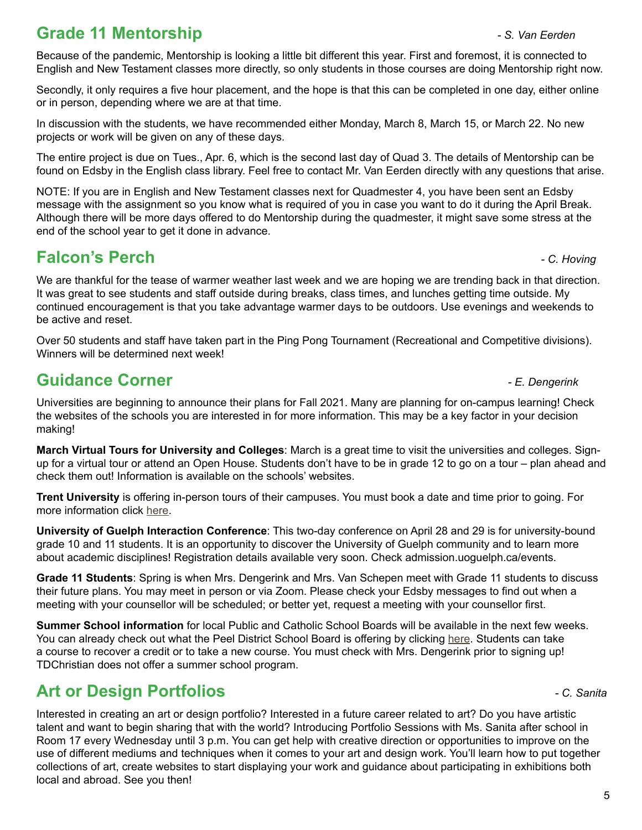# **Grade 11 Mentorship** *- S. Van Eerden*

Because of the pandemic, Mentorship is looking a little bit different this year. First and foremost, it is connected to English and New Testament classes more directly, so only students in those courses are doing Mentorship right now.

Secondly, it only requires a five hour placement, and the hope is that this can be completed in one day, either online or in person, depending where we are at that time.

In discussion with the students, we have recommended either Monday, March 8, March 15, or March 22. No new projects or work will be given on any of these days.

The entire project is due on Tues., Apr. 6, which is the second last day of Quad 3. The details of Mentorship can be found on Edsby in the English class library. Feel free to contact Mr. Van Eerden directly with any questions that arise.

NOTE: If you are in English and New Testament classes next for Quadmester 4, you have been sent an Edsby message with the assignment so you know what is required of you in case you want to do it during the April Break. Although there will be more days offered to do Mentorship during the quadmester, it might save some stress at the end of the school year to get it done in advance.

## **Falcon's Perch** *- C. Hoving*

We are thankful for the tease of warmer weather last week and we are hoping we are trending back in that direction. It was great to see students and staff outside during breaks, class times, and lunches getting time outside. My continued encouragement is that you take advantage warmer days to be outdoors. Use evenings and weekends to be active and reset.

Over 50 students and staff have taken part in the Ping Pong Tournament (Recreational and Competitive divisions). Winners will be determined next week!

# **Guidance Corner** *- E. Dengerink*

Universities are beginning to announce their plans for Fall 2021. Many are planning for on-campus learning! Check the websites of the schools you are interested in for more information. This may be a key factor in your decision making!

**March Virtual Tours for University and Colleges**: March is a great time to visit the universities and colleges. Signup for a virtual tour or attend an Open House. Students don't have to be in grade 12 to go on a tour – plan ahead and check them out! Information is available on the schools' websites.

**Trent University** is offering in-person tours of their campuses. You must book a date and time prior to going. For more information click [here.](http://https://www.trentu.ca/futurestudents/undergraduate/explore-trent-virtually)

**University of Guelph Interaction Conference**: This two-day conference on April 28 and 29 is for university-bound grade 10 and 11 students. It is an opportunity to discover the University of Guelph community and to learn more about academic disciplines! Registration details available very soon. Check admission.uoguelph.ca/events.

**Grade 11 Students**: Spring is when Mrs. Dengerink and Mrs. Van Schepen meet with Grade 11 students to discuss their future plans. You may meet in person or via Zoom. Please check your Edsby messages to find out when a meeting with your counsellor will be scheduled; or better yet, request a meeting with your counsellor first.

**Summer School information** for local Public and Catholic School Boards will be available in the next few weeks. You can already check out what the Peel District School Board is offering by clicking [here.](https://www.peelschools.org/ADULTEDUCATION/SUMMERSCHOOL/Pages/default.aspx) Students can take a course to recover a credit or to take a new course. You must check with Mrs. Dengerink prior to signing up! TDChristian does not offer a summer school program.

# **Art or Design Portfolios** *- C. Sanita*

Interested in creating an art or design portfolio? Interested in a future career related to art? Do you have artistic talent and want to begin sharing that with the world? Introducing Portfolio Sessions with Ms. Sanita after school in Room 17 every Wednesday until 3 p.m. You can get help with creative direction or opportunities to improve on the use of different mediums and techniques when it comes to your art and design work. You'll learn how to put together collections of art, create websites to start displaying your work and guidance about participating in exhibitions both local and abroad. See you then!